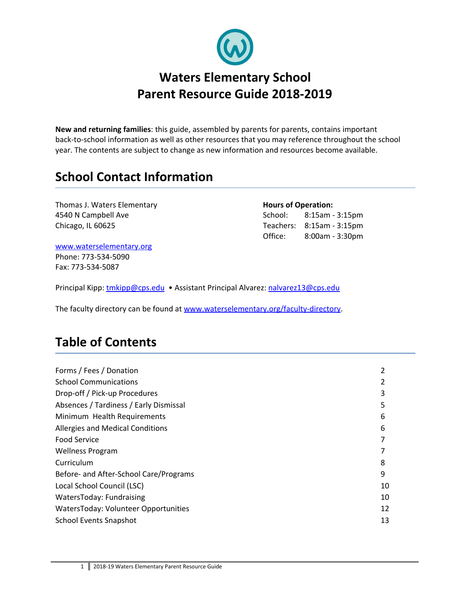

**New and returning families**: this guide, assembled by parents for parents, contains important back-to-school information as well as other resources that you may reference throughout the school year. The contents are subject to change as new information and resources become available.

# **School Contact Information**

**Thomas J. Waters Elementary <b>Hours Hours** of **Operation:** 4540 N Campbell Ave **School:** 8:15am - 3:15pm Chicago, IL 60625 Teachers: 8:15am - 3:15pm

Office: 8:00am - 3:30pm

[www.waterselementary.org](http://www.waterselementary.org/) Phone: 773-534-5090 Fax: 773-534-5087

Principal Kipp: [tmkipp@cps.edu](mailto:tmkipp@cps.edu) • Assistant Principal Alvarez: [nalvarez13@cps.edu](mailto:nalvarez13@cps.edu)

The faculty directory can be found at [www.waterselementary.org/faculty-directory](http://www.waterselementary.org/faculty-directory).

# **Table of Contents**

| Forms / Fees / Donation                |    |
|----------------------------------------|----|
| <b>School Communications</b>           |    |
| Drop-off / Pick-up Procedures          | 3  |
| Absences / Tardiness / Early Dismissal | 5  |
| Minimum Health Requirements            | 6  |
| Allergies and Medical Conditions       | 6  |
| <b>Food Service</b>                    |    |
| <b>Wellness Program</b>                |    |
| Curriculum                             | 8  |
| Before- and After-School Care/Programs | 9  |
| Local School Council (LSC)             | 10 |
| WatersToday: Fundraising               | 10 |
| WatersToday: Volunteer Opportunities   | 12 |
| <b>School Events Snapshot</b>          | 13 |
|                                        |    |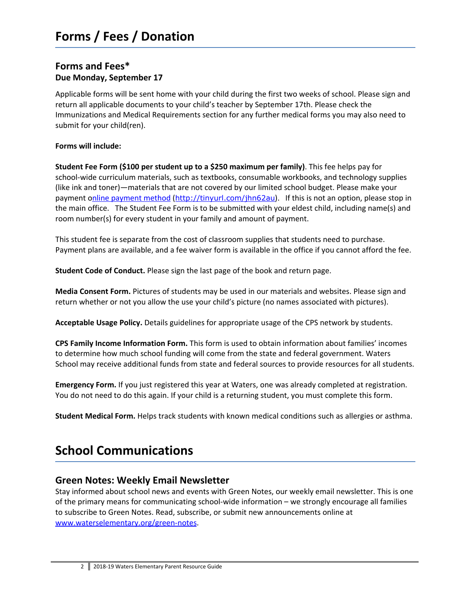### **Forms and Fees\* Due Monday, September 17**

Applicable forms will be sent home with your child during the first two weeks of school. Please sign and return all applicable documents to your child's teacher by September 17th. Please check the Immunizations and Medical Requirements section for any further medical forms you may also need to submit for your child(ren).

#### **Forms will include:**

**Student Fee Form (\$100 per student up to a \$250 maximum per family)**. This fee helps pay for school-wide curriculum materials, such as textbooks, consumable workbooks, and technology supplies (like ink and toner)—materials that are not covered by our limited school budget. Please make your [payment](https://www.epayillinois.com/Home/ShowSiteLandingPage/31996) online payment method (<http://tinyurl.com/jhn62au>). If this is not an option, please stop in the main office. The Student Fee Form is to be submitted with your eldest child, including name(s) and room number(s) for every student in your family and amount of payment.

This student fee is separate from the cost of classroom supplies that students need to purchase. Payment plans are available, and a fee waiver form is available in the office if you cannot afford the fee.

**Student Code of Conduct.** Please sign the last page of the book and return page.

**Media Consent Form.** Pictures of students may be used in our materials and websites. Please sign and return whether or not you allow the use your child's picture (no names associated with pictures).

**Acceptable Usage Policy.** Details guidelines for appropriate usage of the CPS network by students.

**CPS Family Income Information Form.** This form is used to obtain information about families' incomes to determine how much school funding will come from the state and federal government. Waters School may receive additional funds from state and federal sources to provide resources for all students.

**Emergency Form.** If you just registered this year at Waters, one was already completed at registration. You do not need to do this again. If your child is a returning student, you must complete this form.

**Student Medical Form.** Helps track students with known medical conditions such as allergies or asthma.

# **School Communications**

#### **Green Notes: Weekly Email Newsletter**

Stay informed about school news and events with Green Notes, our weekly email newsletter. This is one of the primary means for communicating school-wide information – we strongly encourage all families to subscribe to Green Notes. Read, subscribe, or submit new announcements online at www.waterselementary.org/green-notes.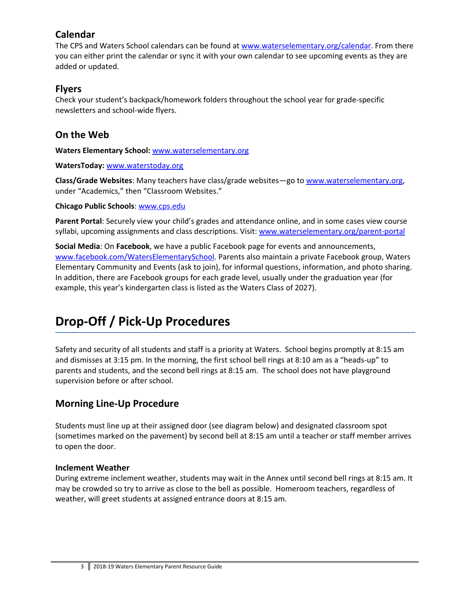### **Calendar**

The CPS and Waters School calendars can be found at [www.waterselementary.org/calendar](http://www.waterselementary.org/calendar). From there you can either print the calendar or sync it with your own calendar to see upcoming events as they are added or updated.

### **Flyers**

Check your student's backpack/homework folders throughout the school year for grade-specific newsletters and school-wide flyers.

## **On the Web**

**Waters Elementary School:** [www.waterselementary.org](http://www.waterselementary.org/)

#### **WatersToday:** [www.waterstoday.org](http://www.waterstoday.org/)

**Class/Grade Websites**: Many teachers have class/grade websites—go to [www.waterselementary.org,](http://www.waterselementary.org/) under "Academics," then "Classroom Websites."

#### **Chicago Public Schools**: [www.cps.edu](http://www.cps.edu/)

**Parent Portal**: Securely view your child's grades and attendance online, and in some cases view course syllabi, upcoming assignments and class descriptions. Visit: [www.waterselementary.org/parent-portal](http://www.waterselementary.org/parent-portal.html)

**Social Media**: On **Facebook**, we have a public Facebook page for events and announcements, www.facebook.com/WatersElementarySchool. Parents also maintain a private Facebook group, Waters Elementary Community and Events (ask to join), for informal questions, information, and photo sharing. In addition, there are Facebook groups for each grade level, usually under the graduation year (for example, this year's kindergarten class is listed as the Waters Class of 2027).

# **Drop-Off / Pick-Up Procedures**

Safety and security of all students and staff is a priority at Waters. School begins promptly at 8:15 am and dismisses at 3:15 pm. In the morning, the first school bell rings at 8:10 am as a "heads-up" to parents and students, and the second bell rings at 8:15 am. The school does not have playground supervision before or after school.

### **Morning Line-Up Procedure**

Students must line up at their assigned door (see diagram below) and designated classroom spot (sometimes marked on the pavement) by second bell at 8:15 am until a teacher or staff member arrives to open the door.

#### **Inclement Weather**

During extreme inclement weather, students may wait in the Annex until second bell rings at 8:15 am. It may be crowded so try to arrive as close to the bell as possible. Homeroom teachers, regardless of weather, will greet students at assigned entrance doors at 8:15 am.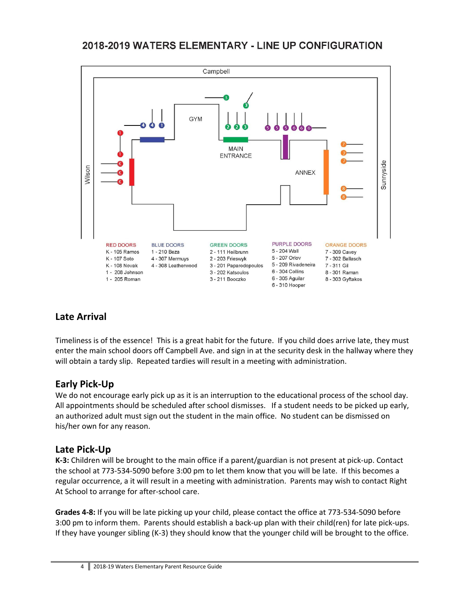# 2018-2019 WATERS ELEMENTARY - LINE UP CONFIGURATION



# **Late Arrival**

Timeliness is of the essence! This is a great habit for the future. If you child does arrive late, they must enter the main school doors off Campbell Ave. and sign in at the security desk in the hallway where they will obtain a tardy slip. Repeated tardies will result in a meeting with administration.

# **Early Pick-Up**

We do not encourage early pick up as it is an interruption to the educational process of the school day. All appointments should be scheduled after school dismisses. If a student needs to be picked up early, an authorized adult must sign out the student in the main office. No student can be dismissed on his/her own for any reason.

### **Late Pick-Up**

**K-3:** Children will be brought to the main office if a parent/guardian is not present at pick-up. Contact the school at 773-534-5090 before 3:00 pm to let them know that you will be late. If this becomes a regular occurrence, a it will result in a meeting with administration. Parents may wish to contact Right At School to arrange for after-school care.

**Grades 4-8:** If you will be late picking up your child, please contact the office at 773-534-5090 before 3:00 pm to inform them. Parents should establish a back-up plan with their child(ren) for late pick-ups. If they have younger sibling (K-3) they should know that the younger child will be brought to the office.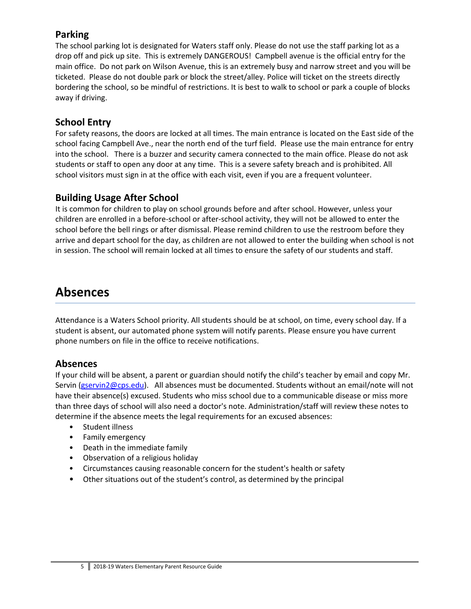## **Parking**

The school parking lot is designated for Waters staff only. Please do not use the staff parking lot as a drop off and pick up site. This is extremely DANGEROUS! Campbell avenue is the official entry for the main office. Do not park on Wilson Avenue, this is an extremely busy and narrow street and you will be ticketed. Please do not double park or block the street/alley. Police will ticket on the streets directly bordering the school, so be mindful of restrictions. It is best to walk to school or park a couple of blocks away if driving.

# **School Entry**

For safety reasons, the doors are locked at all times. The main entrance is located on the East side of the school facing Campbell Ave., near the north end of the turf field. Please use the main entrance for entry into the school. There is a buzzer and security camera connected to the main office. Please do not ask students or staff to open any door at any time. This is a severe safety breach and is prohibited. All school visitors must sign in at the office with each visit, even if you are a frequent volunteer.

### **Building Usage After School**

It is common for children to play on school grounds before and after school. However, unless your children are enrolled in a before-school or after-school activity, they will not be allowed to enter the school before the bell rings or after dismissal. Please remind children to use the restroom before they arrive and depart school for the day, as children are not allowed to enter the building when school is not in session. The school will remain locked at all times to ensure the safety of our students and staff.

# **Absences**

Attendance is a Waters School priority. All students should be at school, on time, every school day. If a student is absent, our automated phone system will notify parents. Please ensure you have current phone numbers on file in the office to receive notifications.

### **Absences**

If your child will be absent, a parent or guardian should notify the child's teacher by email and copy Mr. Servin ([gservin2@cps.edu\)](mailto:GServin2@cps.edu). All absences must be documented. Students without an email/note will not have their absence(s) excused. Students who miss school due to a communicable disease or miss more than three days of school will also need a doctor's note. Administration/staff will review these notes to determine if the absence meets the legal requirements for an excused absences:

- Student illness
- Family emergency
- Death in the immediate family
- Observation of a religious holiday
- Circumstances causing reasonable concern for the student's health or safety
- Other situations out of the student's control, as determined by the principal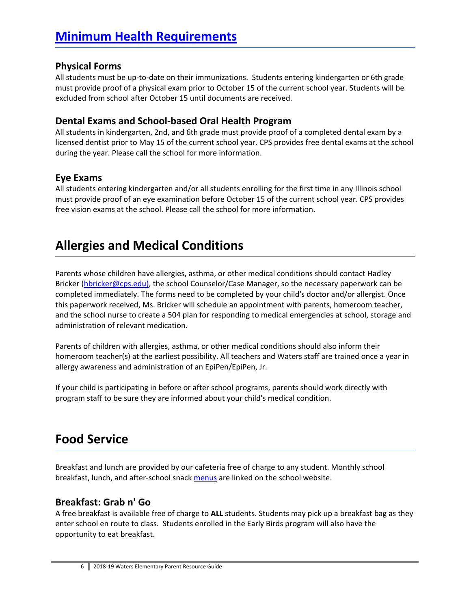#### **Physical Forms**

All students must be up-to-date on their immunizations. Students entering kindergarten or 6th grade must provide proof of a physical exam prior to October 15 of the current school year. Students will be excluded from school after October 15 until documents are received.

#### **Dental Exams and School-based Oral Health Program**

All students in kindergarten, 2nd, and 6th grade must provide proof of a completed dental exam by a licensed dentist prior to May 15 of the current school year. CPS provides free dental exams at the school during the year. Please call the school for more information.

#### **Eye Exams**

All students entering kindergarten and/or all students enrolling for the first time in any Illinois school must provide proof of an eye examination before October 15 of the current school year. CPS provides free vision exams at the school. Please call the school for more information.

# **Allergies and Medical Conditions**

Parents whose children have allergies, asthma, or other medical conditions should contact Hadley Bricker [\(hbricker@cps.edu](mailto:hbricker@cps.edu)), the school Counselor/Case Manager, so the necessary paperwork can be completed immediately. The forms need to be completed by your child's doctor and/or allergist. Once this paperwork received, Ms. Bricker will schedule an appointment with parents, homeroom teacher, and the school nurse to create a 504 plan for responding to medical emergencies at school, storage and administration of relevant medication.

Parents of children with allergies, asthma, or other medical conditions should also inform their homeroom teacher(s) at the earliest possibility. All teachers and Waters staff are trained once a year in allergy awareness and administration of an EpiPen/EpiPen, Jr.

If your child is participating in before or after school programs, parents should work directly with program staff to be sure they are informed about your child's medical condition.

# **Food Service**

Breakfast and lunch are provided by our cafeteria free of charge to any student. Monthly school breakfast, lunch, and after-school snack [menus](https://www.mylunchmoney.com/menus/schoolmenus.aspx?District=549) are linked on the school website.

### **Breakfast: Grab n' Go**

A free breakfast is available free of charge to **ALL** students. Students may pick up a breakfast bag as they enter school en route to class. Students enrolled in the Early Birds program will also have the opportunity to eat breakfast.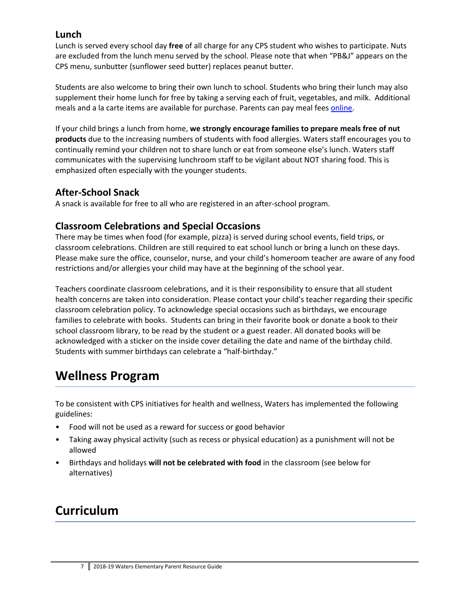### **Lunch**

Lunch is served every school day **free** of all charge for any CPS student who wishes to participate. Nuts are excluded from the lunch menu served by the school. Please note that when "PB&J" appears on the CPS menu, sunbutter (sunflower seed butter) replaces peanut butter.

Students are also welcome to bring their own lunch to school. Students who bring their lunch may also supplement their home lunch for free by taking a serving each of fruit, vegetables, and milk. Additional meals and a la carte items are available for purchase. Parents can pay meal fees [online](https://www.myschoolbucks.com/ver2/login/getmain?requestAction=home).

If your child brings a lunch from home, **we strongly encourage families to prepare meals free of nut products** due to the increasing numbers of students with food allergies. Waters staff encourages you to continually remind your children not to share lunch or eat from someone else's lunch. Waters staff communicates with the supervising lunchroom staff to be vigilant about NOT sharing food. This is emphasized often especially with the younger students.

### **After-School Snack**

A snack is available for free to all who are registered in an after-school program.

### **Classroom Celebrations and Special Occasions**

There may be times when food (for example, pizza) is served during school events, field trips, or classroom celebrations. Children are still required to eat school lunch or bring a lunch on these days. Please make sure the office, counselor, nurse, and your child's homeroom teacher are aware of any food restrictions and/or allergies your child may have at the beginning of the school year.

Teachers coordinate classroom celebrations, and it is their responsibility to ensure that all student health concerns are taken into consideration. Please contact your child's teacher regarding their specific classroom celebration policy. To acknowledge special occasions such as birthdays, we encourage families to celebrate with books. Students can bring in their favorite book or donate a book to their school classroom library, to be read by the student or a guest reader. All donated books will be acknowledged with a sticker on the inside cover detailing the date and name of the birthday child. Students with summer birthdays can celebrate a "half-birthday."

# **Wellness Program**

To be consistent with CPS initiatives for health and wellness, Waters has implemented the following guidelines:

- Food will not be used as a reward for success or good behavior
- Taking away physical activity (such as recess or physical education) as a punishment will not be allowed
- Birthdays and holidays **will not be celebrated with food** in the classroom (see below for alternatives)

# **Curriculum**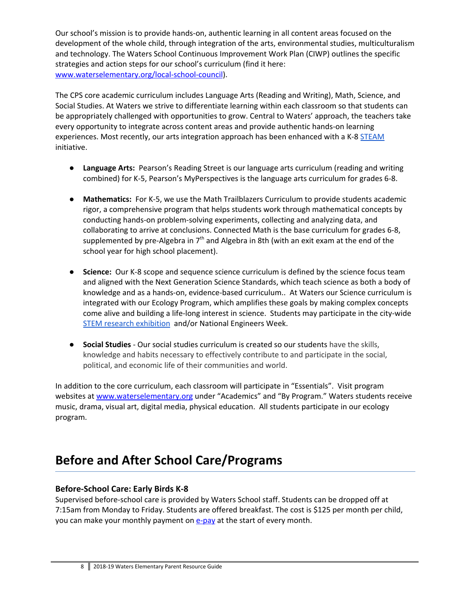Our school's mission is to provide hands-on, authentic learning in all content areas focused on the development of the whole child, through integration of the arts, environmental studies, multiculturalism and technology. The Waters School Continuous Improvement Work Plan (CIWP) outlines the specific strategies and action steps for our school's curriculum (find it here: [www.waterselementary.org/local-school-council\)](http://www.waterselementary.org/local-school-council).

The CPS core academic curriculum includes Language Arts (Reading and Writing), Math, Science, and Social Studies. At Waters we strive to differentiate learning within each classroom so that students can be appropriately challenged with opportunities to grow. Central to Waters' approach, the teachers take every opportunity to integrate across content areas and provide authentic hands-on learning experiences. Most recently, our arts integration approach has been enhanced with a K-8 [STEAM](http://stemtosteam.org/) initiative.

- **Language Arts:** Pearson's Reading Street is our language arts curriculum (reading and writing combined) for K-5, Pearson's MyPerspectives is the language arts curriculum for grades 6-8.
- **Mathematics:** For K-5, we use the Math Trailblazers Curriculum to provide students academic rigor, a comprehensive program that helps students work through mathematical concepts by conducting hands-on problem-solving experiments, collecting and analyzing data, and collaborating to arrive at conclusions. Connected Math is the base curriculum for grades 6-8, supplemented by pre-Algebra in 7<sup>th</sup> and Algebra in 8th (with an exit exam at the end of the school year for high school placement).
- **Science:** Our K-8 scope and sequence science curriculum is defined by the science focus team and aligned with the Next Generation Science Standards, which teach science as both a body of knowledge and as a hands-on, evidence-based curriculum.. At Waters our Science curriculum is integrated with our Ecology Program, which amplifies these goals by making complex concepts come alive and building a life-long interest in science. Students may participate in the city-wide STEM research [exhibition](http://www.cpsscifair.org/) and/or National Engineers Week.
- **Social Studies** Our social studies curriculum is created so our students have the skills, knowledge and habits necessary to effectively contribute to and participate in the social, political, and economic life of their communities and world.

In addition to the core curriculum, each classroom will participate in "Essentials". Visit program websites at [www.waterselementary.org](http://www.waterselementary.org/) under "Academics" and "By Program." Waters students receive music, drama, visual art, digital media, physical education. All students participate in our ecology program.

# **Before and After School Care/Programs**

#### **Before-School Care: Early Birds K-8**

Supervised before-school care is provided by Waters School staff. Students can be dropped off at 7:15am from Monday to Friday. Students are offered breakfast. The cost is \$125 per month per child, you can make your monthly payment on **[e-pay](https://www.epayillinois.com/Home/ShowSiteLandingPage/31996)** at the start of every month.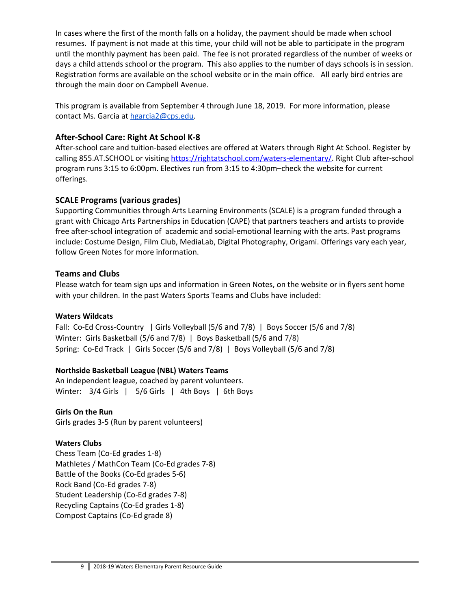In cases where the first of the month falls on a holiday, the payment should be made when school resumes. If payment is not made at this time, your child will not be able to participate in the program until the monthly payment has been paid. The fee is not prorated regardless of the number of weeks or days a child attends school or the program. This also applies to the number of days schools is in session. Registration forms are available on the school website or in the main office. All early bird entries are through the main door on Campbell Avenue.

This program is available from September 4 through June 18, 2019. For more information, please contact Ms. Garcia at [hgarcia2@cps.edu.](mailto:hgarcia2@cps.edu)

#### **After-School Care: Right At School K-8**

After-school care and tuition-based electives are offered at Waters through Right At School. Register by calling 855.AT.SCHOOL or visiting <https://rightatschool.com/waters-elementary/>. Right Club after-school program runs 3:15 to 6:00pm. Electives run from 3:15 to 4:30pm–check the website for current offerings.

#### **SCALE Programs (various grades)**

Supporting Communities through Arts Learning Environments (SCALE) is a program funded through a grant with Chicago Arts Partnerships in Education (CAPE) that partners teachers and artists to provide free after-school integration of academic and social-emotional learning with the arts. Past programs include: Costume Design, Film Club, MediaLab, Digital Photography, Origami. Offerings vary each year, follow Green Notes for more information.

#### **Teams and Clubs**

Please watch for team sign ups and information in Green Notes, on the website or in flyers sent home with your children. In the past Waters Sports Teams and Clubs have included:

#### **Waters Wildcats**

Fall: Co-Ed Cross-Country | Girls Volleyball (5/6 and 7/8) | Boys Soccer (5/6 and 7/8) Winter: Girls Basketball (5/6 and 7/8) | Boys Basketball (5/6 and 7/8) Spring: Co-Ed Track | Girls Soccer (5/6 and 7/8) | Boys Volleyball (5/6 and 7/8)

### **Northside Basketball League (NBL) Waters Teams**

An independent league, coached by parent volunteers. Winter:  $3/4$  Girls | 5/6 Girls | 4th Boys | 6th Boys

### **Girls On the Run**

Girls grades 3-5 (Run by parent volunteers)

### **Waters Clubs**

Chess Team (Co-Ed grades 1-8) Mathletes / MathCon Team (Co-Ed grades 7-8) Battle of the Books (Co-Ed grades 5-6) Rock Band (Co-Ed grades 7-8) Student Leadership (Co-Ed grades 7-8) Recycling Captains (Co-Ed grades 1-8) Compost Captains (Co-Ed grade 8)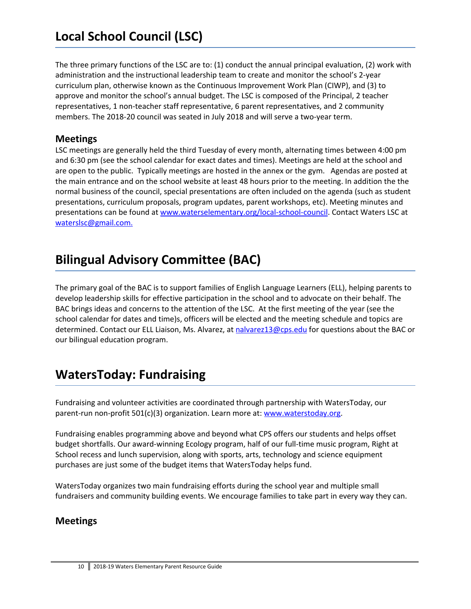The three primary functions of the LSC are to: (1) conduct the annual principal evaluation, (2) work with administration and the instructional leadership team to create and monitor the school's 2-year curriculum plan, otherwise known as the Continuous Improvement Work Plan (CIWP), and (3) to approve and monitor the school's annual budget. The LSC is composed of the Principal, 2 teacher representatives, 1 non-teacher staff representative, 6 parent representatives, and 2 community members. The 2018-20 council was seated in July 2018 and will serve a two-year term.

### **Meetings**

LSC meetings are generally held the third Tuesday of every month, alternating times between 4:00 pm and 6:30 pm (see the school calendar for exact dates and times). Meetings are held at the school and are open to the public. Typically meetings are hosted in the annex or the gym. Agendas are posted at the main entrance and on the school website at least 48 hours prior to the meeting. In addition the the normal business of the council, special presentations are often included on the agenda (such as student presentations, curriculum proposals, program updates, parent workshops, etc). Meeting minutes and presentations can be found at [www.waterselementary.org/local-school-council](http://www.waterselementary.org/local-school-council.html). Contact Waters LSC at [waterslsc@gmail.com.](mailto:waterslsc@gmail.com)

# **Bilingual Advisory Committee (BAC)**

The primary goal of the BAC is to support families of English Language Learners (ELL), helping parents to develop leadership skills for effective participation in the school and to advocate on their behalf. The BAC brings ideas and concerns to the attention of the LSC. At the first meeting of the year (see the school calendar for dates and time)s, officers will be elected and the meeting schedule and topics are determined. Contact our ELL Liaison, Ms. Alvarez, at [nalvarez13@cps.edu](mailto:nalvarez13@cps.edu) for questions about the BAC or our bilingual education program.

# **WatersToday: Fundraising**

Fundraising and volunteer activities are coordinated through partnership with WatersToday, our parent-run non-profit 501(c)(3) organization. Learn more at: [www.waterstoday.org.](http://www.waterstoday.org/)

Fundraising enables programming above and beyond what CPS offers our students and helps offset budget shortfalls. Our award-winning Ecology program, half of our full-time music program, Right at School recess and lunch supervision, along with sports, arts, technology and science equipment purchases are just some of the budget items that WatersToday helps fund.

WatersToday organizes two main fundraising efforts during the school year and multiple small fundraisers and community building events. We encourage families to take part in every way they can.

### **Meetings**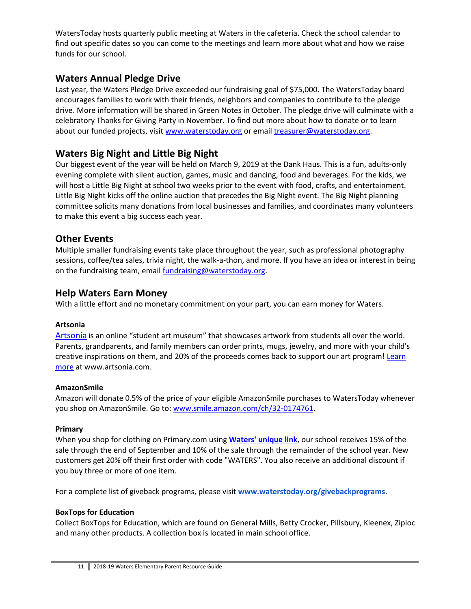WatersToday hosts quarterly public meeting at Waters in the cafeteria. Check the school calendar to find out specific dates so you can come to the meetings and learn more about what and how we raise funds for our school.

### **Waters Annual Pledge Drive**

Last year, the Waters Pledge Drive exceeded our fundraising goal of \$75,000. The WatersToday board encourages families to work with their friends, neighbors and companies to contribute to the pledge drive. More information will be shared in Green Notes in October. The pledge drive will culminate with a celebratory Thanks for Giving Party in November. To find out more about how to donate or to learn about our funded projects, visit [www.waterstoday.org](http://www.waterstoday.org/) or email [treasurer@waterstoday.org.](mailto:treasurer@waterstoday.org)

## **Waters Big Night and Little Big Night**

Our biggest event of the year will be held on March 9, 2019 at the Dank Haus. This is a fun, adults-only evening complete with silent auction, games, music and dancing, food and beverages. For the kids, we will host a Little Big Night at school two weeks prior to the event with food, crafts, and entertainment. Little Big Night kicks off the online auction that precedes the Big Night event. The Big Night planning committee solicits many donations from local businesses and families, and coordinates many volunteers to make this event a big success each year.

### **Other Events**

Multiple smaller fundraising events take place throughout the year, such as professional photography sessions, coffee/tea sales, trivia night, the walk-a-thon, and more. If you have an idea or interest in being on the fundraising team, email [fundraising@waterstoday.org.](mailto:fundraising@waterstoday.org)

### **Help Waters Earn Money**

With a little effort and no monetary commitment on your part, you can earn money for Waters.

#### **Artsonia**

[Artsonia](https://www.artsonia.com/) is an online "student art museum" that showcases artwork from students all over the world. Parents, grandparents, and family members can order prints, mugs, jewelry, and more with your child's creative inspirations on them, and 20% of the proceeds comes back to support our art program! [Learn](http://artsonia.com/) [more](http://artsonia.com/) at www.artsonia.com.

#### **AmazonSmile**

Amazon will donate 0.5% of the price of your eligible AmazonSmile purchases to WatersToday whenever you shop on AmazonSmile. Go to: [www.smile.amazon.com/ch/32-0174761](http://www.smile.amazon.com/ch/32-0174761).

#### **Primary**

When you shop for clothing on Primary.com using **[Waters'](http://www.primary.com/school/waters) unique link**, our school receives 15% of the sale through the end of September and 10% of the sale through the remainder of the school year. New customers get 20% off their first order with code "WATERS". You also receive an additional discount if you buy three or more of one item.

For a complete list of giveback programs, please visit **[www.waterstoday.org/givebackprograms](http://www.waterstoday.org/givebackprograms.html)**.

#### **BoxTops for Education**

Collect BoxTops for Education, which are found on General Mills, Betty Crocker, Pillsbury, Kleenex, Ziploc and many other products. A collection box is located in main school office.